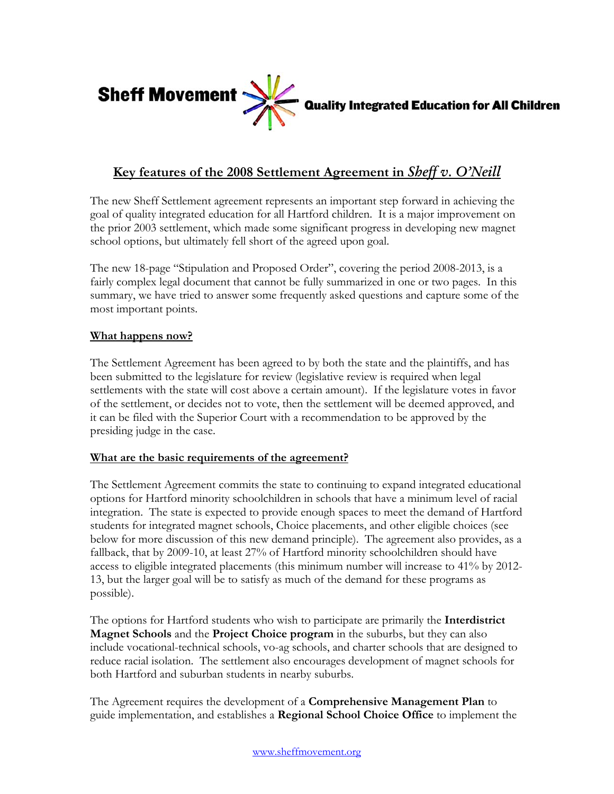

**Quality Integrated Education for All Children** 

# **Key features of the 2008 Settlement Agreement in** *Sheff v. O'Neill*

The new Sheff Settlement agreement represents an important step forward in achieving the goal of quality integrated education for all Hartford children. It is a major improvement on the prior 2003 settlement, which made some significant progress in developing new magnet school options, but ultimately fell short of the agreed upon goal.

The new 18-page "Stipulation and Proposed Order", covering the period 2008-2013, is a fairly complex legal document that cannot be fully summarized in one or two pages. In this summary, we have tried to answer some frequently asked questions and capture some of the most important points.

## **What happens now?**

The Settlement Agreement has been agreed to by both the state and the plaintiffs, and has been submitted to the legislature for review (legislative review is required when legal settlements with the state will cost above a certain amount). If the legislature votes in favor of the settlement, or decides not to vote, then the settlement will be deemed approved, and it can be filed with the Superior Court with a recommendation to be approved by the presiding judge in the case.

#### **What are the basic requirements of the agreement?**

The Settlement Agreement commits the state to continuing to expand integrated educational options for Hartford minority schoolchildren in schools that have a minimum level of racial integration. The state is expected to provide enough spaces to meet the demand of Hartford students for integrated magnet schools, Choice placements, and other eligible choices (see below for more discussion of this new demand principle). The agreement also provides, as a fallback, that by 2009-10, at least 27% of Hartford minority schoolchildren should have access to eligible integrated placements (this minimum number will increase to 41% by 2012- 13, but the larger goal will be to satisfy as much of the demand for these programs as possible).

The options for Hartford students who wish to participate are primarily the **Interdistrict Magnet Schools** and the **Project Choice program** in the suburbs, but they can also include vocational-technical schools, vo-ag schools, and charter schools that are designed to reduce racial isolation. The settlement also encourages development of magnet schools for both Hartford and suburban students in nearby suburbs.

The Agreement requires the development of a **Comprehensive Management Plan** to guide implementation, and establishes a **Regional School Choice Office** to implement the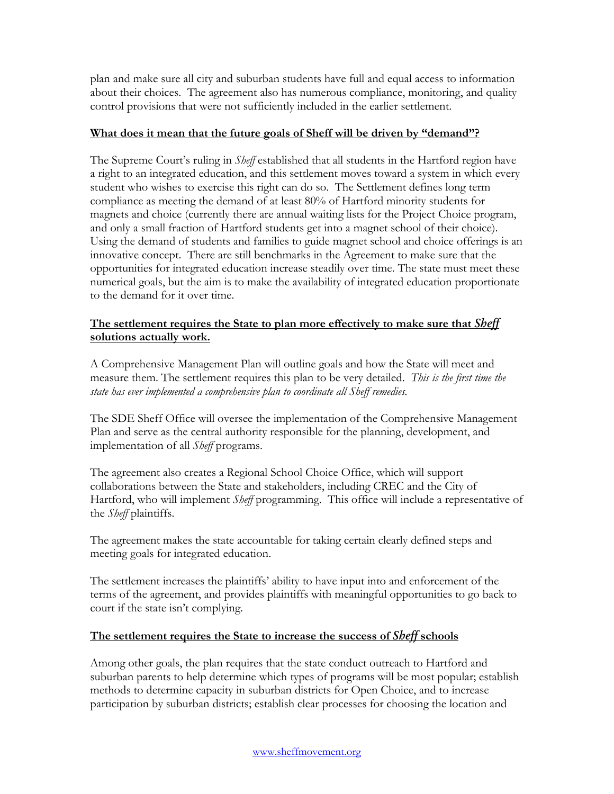plan and make sure all city and suburban students have full and equal access to information about their choices. The agreement also has numerous compliance, monitoring, and quality control provisions that were not sufficiently included in the earlier settlement.

### **What does it mean that the future goals of Sheff will be driven by "demand"?**

The Supreme Court's ruling in *Sheff* established that all students in the Hartford region have a right to an integrated education, and this settlement moves toward a system in which every student who wishes to exercise this right can do so. The Settlement defines long term compliance as meeting the demand of at least 80% of Hartford minority students for magnets and choice (currently there are annual waiting lists for the Project Choice program, and only a small fraction of Hartford students get into a magnet school of their choice). Using the demand of students and families to guide magnet school and choice offerings is an innovative concept. There are still benchmarks in the Agreement to make sure that the opportunities for integrated education increase steadily over time. The state must meet these numerical goals, but the aim is to make the availability of integrated education proportionate to the demand for it over time.

## **The settlement requires the State to plan more effectively to make sure that** *Sheff* **solutions actually work.**

A Comprehensive Management Plan will outline goals and how the State will meet and measure them. The settlement requires this plan to be very detailed. *This is the first time the state has ever implemented a comprehensive plan to coordinate all Sheff remedies.*

The SDE Sheff Office will oversee the implementation of the Comprehensive Management Plan and serve as the central authority responsible for the planning, development, and implementation of all *Sheff* programs.

The agreement also creates a Regional School Choice Office, which will support collaborations between the State and stakeholders, including CREC and the City of Hartford, who will implement *Sheff* programming. This office will include a representative of the *Sheff* plaintiffs.

The agreement makes the state accountable for taking certain clearly defined steps and meeting goals for integrated education.

The settlement increases the plaintiffs' ability to have input into and enforcement of the terms of the agreement, and provides plaintiffs with meaningful opportunities to go back to court if the state isn't complying.

# **The settlement requires the State to increase the success of** *Sheff* **schools**

Among other goals, the plan requires that the state conduct outreach to Hartford and suburban parents to help determine which types of programs will be most popular; establish methods to determine capacity in suburban districts for Open Choice, and to increase participation by suburban districts; establish clear processes for choosing the location and